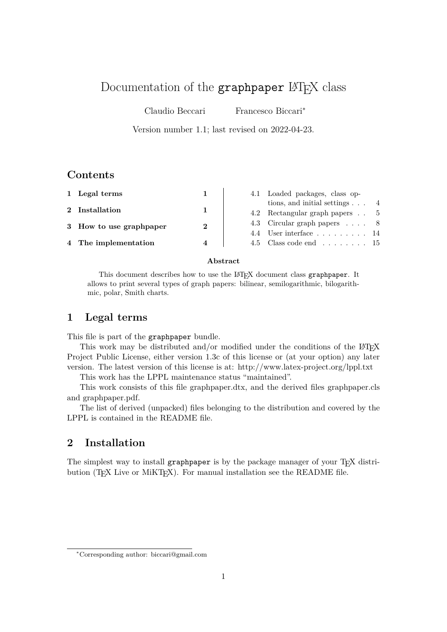# Documentation of the graphpaper LAT<sub>E</sub>X class

Claudio Beccari Francesco Biccari<sup>∗</sup>

Version number 1.1; last revised on 2022-04-23.

# **Contents**

| 1 Legal terms           |                        | 4.1 Loaded packages, class op-               |  |
|-------------------------|------------------------|----------------------------------------------|--|
| 2 Installation          | 1                      | tions, and initial settings $\ldots$ 4       |  |
|                         |                        | 4.2 Rectangular graph papers 5               |  |
| 3 How to use graphpaper | $\mathbf{2}$           | 4.3 Circular graph papers 8                  |  |
|                         |                        | 4.4 User interface $\ldots$ , 14             |  |
| 4 The implementation    | $\boldsymbol{\Lambda}$ | 4.5 Class code end $\ldots \ldots \ldots$ 15 |  |

#### **Abstract**

This document describes how to use the LAT<sub>E</sub>X document class graphpaper. It allows to print several types of graph papers: bilinear, semilogarithmic, bilogarithmic, polar, Smith charts.

# **1 Legal terms**

This file is part of the graphpaper bundle.

This work may be distributed and/or modified under the conditions of the L<sup>AT</sup>EX Project Public License, either version 1.3c of this license or (at your option) any later version. The latest version of this license is at: http://www.latex-project.org/lppl.txt

This work has the LPPL maintenance status "maintained".

This work consists of this file graphpaper.dtx, and the derived files graphpaper.cls and graphpaper.pdf.

The list of derived (unpacked) files belonging to the distribution and covered by the LPPL is contained in the README file.

# **2 Installation**

The simplest way to install graphpaper is by the package manager of your T<sub>E</sub>X distribution (T<sub>E</sub>X Live or MiKT<sub>E</sub>X). For manual installation see the README file.

<sup>∗</sup>Corresponding author: biccari@gmail.com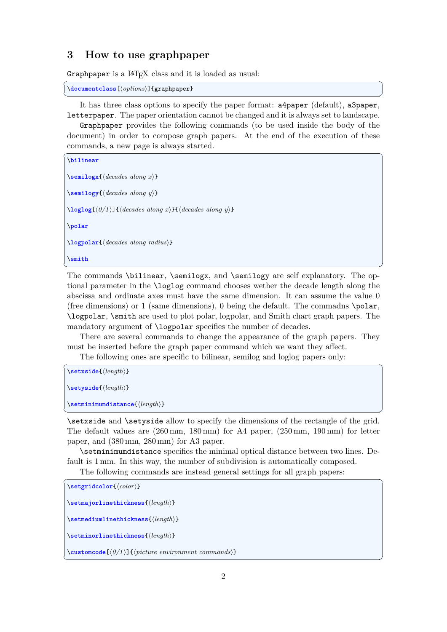### **3 How to use graphpaper**

Graphpaper is a LAT<sub>E</sub>X class and it is loaded as usual:

```
\overline{a} \overline{a} \overline{a} \overline{a} \overline{a} \overline{a} \overline{a} \overline{a} \overline{a} \overline{a} \overline{a} \overline{a} \overline{a} \overline{a} \overline{a} \overline{a} \overline{a} \overline{a} \overline{a} \overline{a} \overline{a} \overline{a} \overline{a} \overline{a} \overline{\documentclass[⟨options⟩]{graphpaper}
✝ ✆
```
It has three class options to specify the paper format: a4paper (default), a3paper, letterpaper. The paper orientation cannot be changed and it is always set to landscape.

Graphpaper provides the following commands (to be used inside the body of the document) in order to compose graph papers. At the end of the execution of these commands, a new page is always started.  $\overline{a}$   $\overline{b}$   $\overline{a}$   $\overline{b}$   $\overline{c}$   $\overline{d}$   $\overline{d}$   $\overline{d}$   $\overline{d}$   $\overline{d}$   $\overline{d}$   $\overline{d}$   $\overline{d}$   $\overline{d}$   $\overline{d}$   $\overline{d}$   $\overline{d}$   $\overline{d}$   $\overline{d}$   $\overline{d}$   $\overline{d}$   $\overline{d}$   $\overline{d}$   $\overline{d}$   $\overline{$ 

```
\bilinear
```
\**semilogx**{⟨*decades along x*⟩}

\**semilogy**{⟨*decades along y*⟩}

\**loglog**[⟨*0/1* ⟩]{⟨*decades along x*⟩}{⟨*decades along y*⟩}

\**polar**

\**logpolar**{⟨*decades along radius*⟩}

\**smith**

The commands \bilinear, \semilogx, and \semilogy are self explanatory. The optional parameter in the \loglog command chooses wether the decade length along the abscissa and ordinate axes must have the same dimension. It can assume the value 0 (free dimensions) or 1 (same dimensions), 0 being the default. The commadns \polar, \logpolar, \smith are used to plot polar, logpolar, and Smith chart graph papers. The mandatory argument of **\logpolar** specifies the number of decades.

✝ ✆

There are several commands to change the appearance of the graph papers. They must be inserted before the graph paper command which we want they affect.

The following ones are specific to bilinear, semilog and loglog papers only:  $\overline{a}$   $\overline{a}$   $\overline{a}$   $\overline{a}$   $\overline{a}$   $\overline{a}$   $\overline{a}$   $\overline{a}$   $\overline{a}$   $\overline{a}$   $\overline{a}$   $\overline{a}$   $\overline{a}$   $\overline{a}$   $\overline{a}$   $\overline{a}$   $\overline{a}$   $\overline{a}$   $\overline{a}$   $\overline{a}$   $\overline{a}$   $\overline{a}$   $\overline{a}$   $\overline{a}$   $\overline{$ 

```
\setxside{⟨length⟩}
\setyside{⟨length⟩}
```

```
\setminimumdistance{⟨length⟩}
```
\setxside and \setyside allow to specify the dimensions of the rectangle of the grid. The default values are (260 mm, 180 mm) for A4 paper, (250 mm, 190 mm) for letter paper, and (380 mm, 280 mm) for A3 paper.

✝ ✆

\setminimumdistance specifies the minimal optical distance between two lines. Default is 1 mm. In this way, the number of subdivision is automatically composed.

The following commands are instead general settings for all graph papers:  $\overline{a}$   $\overline{a}$   $\overline{a}$   $\overline{a}$   $\overline{a}$   $\overline{a}$   $\overline{a}$   $\overline{a}$   $\overline{a}$   $\overline{a}$   $\overline{a}$   $\overline{a}$   $\overline{a}$   $\overline{a}$   $\overline{a}$   $\overline{a}$   $\overline{a}$   $\overline{a}$   $\overline{a}$   $\overline{a}$   $\overline{a}$   $\overline{a}$   $\overline{a}$   $\overline{a}$   $\overline{$ 

```
\setgridcolor{⟨color⟩}
```

```
\setmajorlinethickness{⟨length⟩}
```
\**setmediumlinethickness**{⟨*length*⟩}

\**setminorlinethickness**{⟨*length*⟩}

\**customcode**[⟨*0/1* ⟩]{⟨*picture environment commands*⟩}

✝ ✆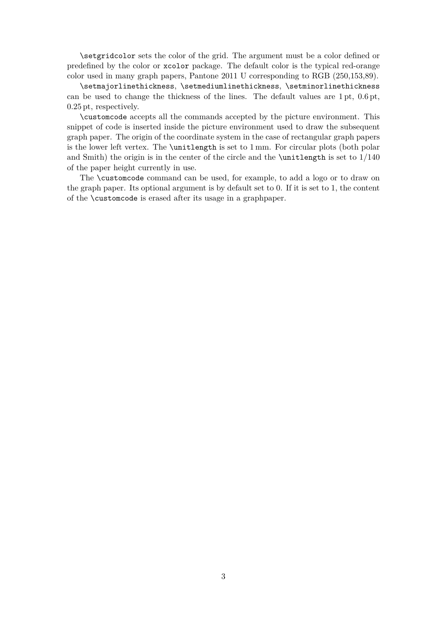\setgridcolor sets the color of the grid. The argument must be a color defined or predefined by the color or xcolor package. The default color is the typical red-orange color used in many graph papers, Pantone 2011 U corresponding to RGB (250,153,89).

\setmajorlinethickness, \setmediumlinethickness, \setminorlinethickness can be used to change the thickness of the lines. The default values are 1 pt, 0.6 pt, 0.25 pt, respectively.

\customcode accepts all the commands accepted by the picture environment. This snippet of code is inserted inside the picture environment used to draw the subsequent graph paper. The origin of the coordinate system in the case of rectangular graph papers is the lower left vertex. The \unitlength is set to 1 mm. For circular plots (both polar and Smith) the origin is in the center of the circle and the **\unitlength** is set to  $1/140$ of the paper height currently in use.

The \customcode command can be used, for example, to add a logo or to draw on the graph paper. Its optional argument is by default set to 0. If it is set to 1, the content of the \customcode is erased after its usage in a graphpaper.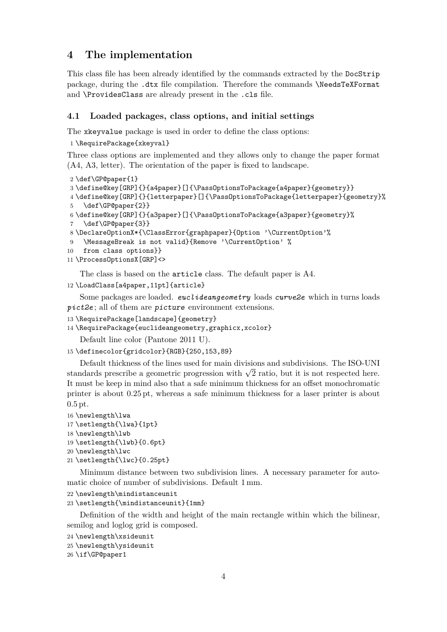# **4 The implementation**

This class file has been already identified by the commands extracted by the DocStrip package, during the .dtx file compilation. Therefore the commands \NeedsTeXFormat and \ProvidesClass are already present in the .cls file.

#### **4.1 Loaded packages, class options, and initial settings**

The xkeyvalue package is used in order to define the class options:

```
1 \RequirePackage{xkeyval}
```
Three class options are implemented and they allows only to change the paper format (A4, A3, letter). The orientation of the paper is fixed to landscape.

```
2 \def\GP@paper{1}
3 \define@key[GRP]{}{a4paper}[]{\PassOptionsToPackage{a4paper}{geometry}}
4 \define@key[GRP]{}{letterpaper}[]{\PassOptionsToPackage{letterpaper}{geometry}%
5 \def\GP@paper{2}}
6 \define@key[GRP]{}{a3paper}[]{\PassOptionsToPackage{a3paper}{geometry}%
7 \def\GP@paper{3}}
8 \DeclareOptionX*{\ClassError{graphpaper}{Option '\CurrentOption'%
9 \MessageBreak is not valid}{Remove '\CurrentOption' %
10 from class options}}
11 \ProcessOptionsX[GRP]<>
   The class is based on the article class. The default paper is A4.
```

```
12 \LoadClass[a4paper,11pt]{article}
```
Some packages are loaded. *euclideangeometry* loads *curve2e* which in turns loads *pict2e* ; all of them are picture environment extensions.

```
13 \RequirePackage[landscape]{geometry}
```
14 \RequirePackage{euclideangeometry,graphicx,xcolor}

Default line color (Pantone 2011 U).

```
15 \definecolor{gridcolor}{RGB}{250,153,89}
```
Default thickness of the lines used for main divisions and subdivisions. The ISO-UNI Detail the stands of the lines used for main divisions and subdivisions. The ISO-UNI standards prescribe a geometric progression with  $\sqrt{2}$  ratio, but it is not respected here. It must be keep in mind also that a safe minimum thickness for an offset monochromatic printer is about 0.25 pt, whereas a safe minimum thickness for a laser printer is about 0.5 pt.

```
16 \newlength\lwa
```

```
17 \setlength{\lwa}{1pt}
```

```
18 \newlength\lwb
```
19 \setlength{\lwb}{0.6pt}

20 \newlength\lwc

```
21 \setlength{\lwc}{0.25pt}
```
Minimum distance between two subdivision lines. A necessary parameter for automatic choice of number of subdivisions. Default 1 mm.

```
22 \newlength\mindistanceunit
```

```
23 \setlength{\mindistanceunit}{1mm}
```
Definition of the width and height of the main rectangle within which the bilinear, semilog and loglog grid is composed.

```
24 \newlength\xsideunit
```

```
25 \newlength\ysideunit
```

```
26 \if\GP@paper1
```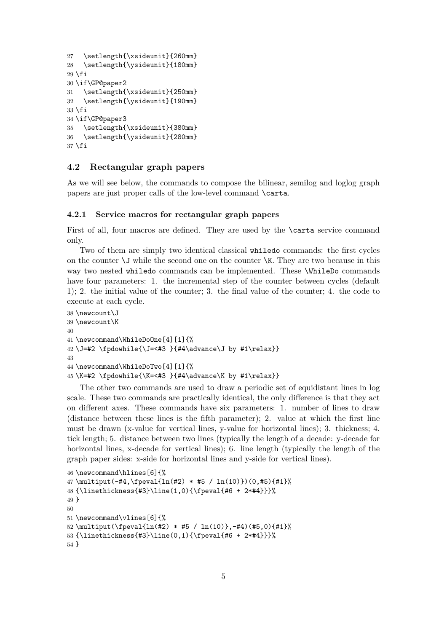```
27 \setlength{\xsideunit}{260mm}
28 \setlength{\ysideunit}{180mm}
29 \fi
30 \if\GP@paper2
31 \setlength{\xsideunit}{250mm}
32 \setlength{\ysideunit}{190mm}
33 \fi
34 \if\GP@paper3
35 \setlength{\xsideunit}{380mm}
36 \setlength{\ysideunit}{280mm}
37 \fi
```
#### **4.2 Rectangular graph papers**

As we will see below, the commands to compose the bilinear, semilog and loglog graph papers are just proper calls of the low-level command \carta.

#### **4.2.1 Service macros for rectangular graph papers**

First of all, four macros are defined. They are used by the \carta service command only.

Two of them are simply two identical classical whiledo commands: the first cycles on the counter  $\setminus J$  while the second one on the counter  $\setminus K$ . They are two because in this way two nested whiledo commands can be implemented. These \WhileDo commands have four parameters: 1. the incremental step of the counter between cycles (default 1); 2. the initial value of the counter; 3. the final value of the counter; 4. the code to execute at each cycle.

```
38 \newcount\J
39 \newcount\K
40
41 \newcommand\WhileDoOne[4][1]{%
42 \J=#2 \fpdowhile{\J=<#3 }{#4\advance\J by #1\relax}}
43
44 \newcommand\WhileDoTwo[4][1]{%
45 \K=#2 \fpdowhile{\K=<#3 }{#4\advance\K by #1\relax}}
```
The other two commands are used to draw a periodic set of equidistant lines in log scale. These two commands are practically identical, the only difference is that they act on different axes. These commands have six parameters: 1. number of lines to draw (distance between these lines is the fifth parameter); 2. value at which the first line must be drawn (x-value for vertical lines, y-value for horizontal lines); 3. thickness; 4. tick length; 5. distance between two lines (typically the length of a decade: y-decade for horizontal lines, x-decade for vertical lines); 6. line length (typically the length of the graph paper sides: x-side for horizontal lines and y-side for vertical lines).

```
46 \newcommand\hlines[6]{%
47 \multiput(-#4,\fpeval{ln(#2) * #5 / ln(10)})(0,#5){#1}%
48 {\linethickness{#3}\line(1,0){\fpeval{#6 + 2*#4}}}%
49 }
50
51 \newcommand\vlines[6]{%
52 \multiput(\fpeval{ln(#2) * #5 / ln(10)},-#4)(#5,0){#1}%
53 {\linethickness{#3}\line(0,1){\fpeval{#6 + 2*#4}}}%
54 }
```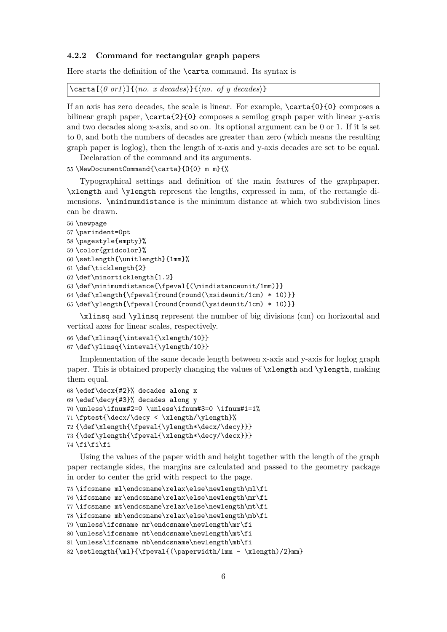#### **4.2.2 Command for rectangular graph papers**

Here starts the definition of the **\carta** command. Its syntax is

```
\text{Cat}(\theta \text{ or } 1) \{\langle no. x \text{ decades}\rangle\} {\langle no. of y \text{ decades}\rangle\}
```
If an axis has zero decades, the scale is linear. For example, \carta{0}{0} composes a bilinear graph paper, \carta{2}{0} composes a semilog graph paper with linear y-axis and two decades along x-axis, and so on. Its optional argument can be 0 or 1. If it is set to 0, and both the numbers of decades are greater than zero (which means the resulting graph paper is loglog), then the length of x-axis and y-axis decades are set to be equal.

Declaration of the command and its arguments.

55 \NewDocumentCommand{\carta}{O{0} m m}{%

Typographical settings and definition of the main features of the graphpaper. \xlength and \ylength represent the lengths, expressed in mm, of the rectangle dimensions. \minimumdistance is the minimum distance at which two subdivision lines can be drawn.

```
56 \newpage
57 \parindent=0pt
58 \pagestyle{empty}%
59 \color{gridcolor}%
60 \setlength{\unitlength}{1mm}%
61 \def\ticklength{2}
62 \def\minorticklength{1.2}
63 \def\minimumdistance{\fpeval{(\mindistanceunit/1mm)}}
64 \def\ell_{\text{b}} 64 \def\xlength{\fpeval{round(round(\xsideunit/1cm) * 10)}}
65 \def\ylength{\fpeval{round(round(\ysideunit/1cm) * 10)}}
```
\xlinsq and \ylinsq represent the number of big divisions (cm) on horizontal and vertical axes for linear scales, respectively.

```
66 \def\xlinsq{\inteval{\xlength/10}}
67 \def\ylinsq{\inteval{\ylength/10}}
```
Implementation of the same decade length between x-axis and y-axis for loglog graph paper. This is obtained properly changing the values of \xlength and \ylength, making them equal.

```
68 \edef\decx{#2}% decades along x
69 \edef\decy{#3}% decades along y
70 \unless\ifnum#2=0 \unless\ifnum#3=0 \ifnum#1=1%
71 \fptest{\decx/\decy < \xlength/\ylength}%
72 {\def\xlength{\fpeval{\ylength*\decx/\decy}}}
73 {\def\ylength{\fpeval{\xlength*\decy/\decx}}}
74 \fi\fi\fi
```
Using the values of the paper width and height together with the length of the graph paper rectangle sides, the margins are calculated and passed to the geometry package in order to center the grid with respect to the page.

```
75 \ifcsname ml\endcsname\relax\else\newlength\ml\fi
76 \ifcsname mr\endcsname\relax\else\newlength\mr\fi
77 \ifcsname mt\endcsname\relax\else\newlength\mt\fi
78 \ifcsname mb\endcsname\relax\else\newlength\mb\fi
79 \unless\ifcsname mr\endcsname\newlength\mr\fi
80 \unless\ifcsname mt\endcsname\newlength\mt\fi
81 \unless\ifcsname mb\endcsname\newlength\mb\fi
82\setlength{\ml}{\fpeval{(\paperwidth/1mm - \xlength)/2}mm}
```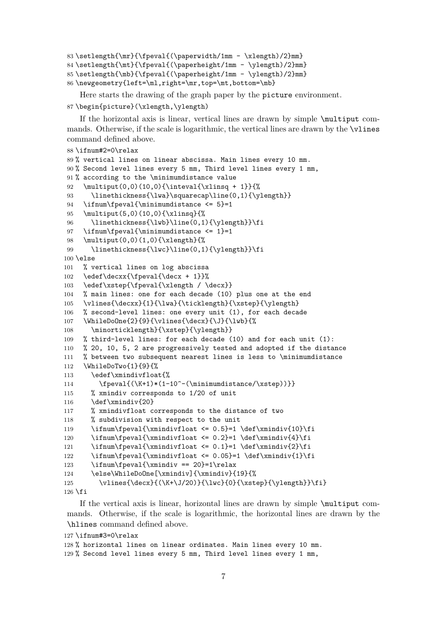```
83\setlength{\mr}{\fpeval{(\paperwidth/1mm - \xlength)/2}mm}
84 \setlength{\mt}{\fpeval{(\paperheight/1mm - \ylength)/2}mm}
85 \setlength{\mb}{\fpeval{(\paperheight/1mm - \ylength)/2}mm}
86 \newgeometry{left=\ml,right=\mr,top=\mt,bottom=\mb}
```
Here starts the drawing of the graph paper by the picture environment. 87 \begin{picture}(\xlength,\ylength)

If the horizontal axis is linear, vertical lines are drawn by simple \multiput commands. Otherwise, if the scale is logarithmic, the vertical lines are drawn by the \vlines command defined above.

```
88 \ifnum#2=0\relax
89 % vertical lines on linear abscissa. Main lines every 10 mm.
90 % Second level lines every 5 mm, Third level lines every 1 mm,
91 % according to the \minimumdistance value
92 \multiput(0,0)(10,0){\inteval{\xlinsq + 1}}{%
93 \linethickness{\lwa}\squarecap\line(0,1){\ylength}}
94 \ifnum\fpeval{\minimumdistance <= 5}=1
95 \multiput(5,0)(10,0){\xlinsq}{%
96 \linethickness{\lwb}\line(0,1){\ylength}}\fi
97 \ifnum\fpeval{\minimumdistance <= 1}=1
98 \multiput(0,0)(1,0){\xlength}{%
99 \linethickness{\lwc}\line(0,1){\ylength}}\fi
100 \else
101 % vertical lines on log abscissa
102 \edef\decxx{\fpeval{\decx + 1}}%
103 \edef\xstep{\fpeval{\xlength / \decx}}
104 % main lines: one for each decade (10) plus one at the end
105 \vlines{\decxx}{1}{\lwa}{\ticklength}{\xstep}{\ylength}
106 % second-level lines: one every unit (1), for each decade
107 \WhileDoOne{2}{9}{\vlines{\decx}{\J}{\lwb}{%
108 \minorticklength}{\xstep}{\ylength}}
109 % third-level lines: for each decade (10) and for each unit (1):
110 % 20, 10, 5, 2 are progressively tested and adopted if the distance
111 % between two subsequent nearest lines is less to \minimumdistance
112 \WhileDoTwo{1}{9}{%
113 \edef\xmindivfloat{%
114 \frac{\{\N+1*(1-10^--(\minimumdistance/\xstep))}\}115 % xmindiv corresponds to 1/20 of unit
116 \def\xmindiv{20}
117 % xmindivfloat corresponds to the distance of two
118 % subdivision with respect to the unit
119 \ifnum\fpeval{\xmindivfloat <= 0.5}=1 \def\xmindiv{10}\fi
120 \ifnum\fpeval{\xmindivfloat <= 0.2}=1 \def\xmindiv{4}\fi
121 \ifnum\fpeval{\xmindivfloat <= 0.1}=1 \def\xmindiv{2}\fi
122 \ifnum\fpeval{\xmindivfloat <= 0.05}=1 \def\xmindiv{1}\fi
123 \ifnum\fpeval{\xmindiv == 20}=1\relax
124 \else\WhileDoOne[\xmindiv]{\xmindiv}{19}{%
125 \vlines{\decx}{(\K+\J/20)}{\lwc}{0}{\xstep}{\ylength}}\fi}
```
 $126$  \fi

If the vertical axis is linear, horizontal lines are drawn by simple \multiput commands. Otherwise, if the scale is logarithmic, the horizontal lines are drawn by the \hlines command defined above.

```
127 \ifnum#3=0\relax
128 % horizontal lines on linear ordinates. Main lines every 10 mm.
129 % Second level lines every 5 mm, Third level lines every 1 mm,
```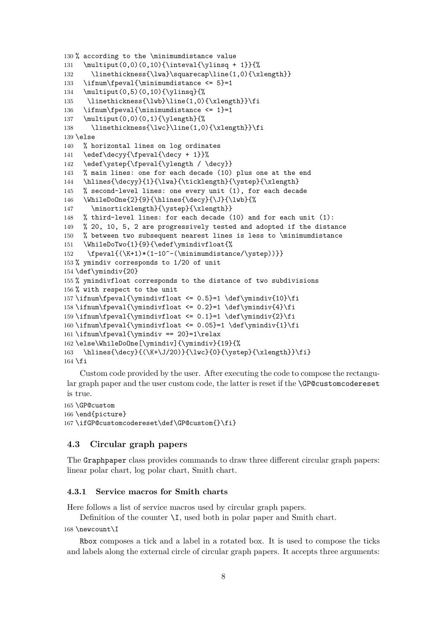```
130 % according to the \minimumdistance value
131 \multiput(0,0)(0,10){\inteval{\ylinsq + 1}}{%
132 \linethickness{\lwa}\squarecap\line(1,0){\xlength}}
133 \ifnum\fpeval{\minimumdistance <= 5}=1
134 \multiput(0,5)(0,10){\ylinsq}{%
135 \linethickness{\lwb}\line(1,0){\xlength}}\fi
136 \ifnum\fpeval{\minimumdistance <= 1}=1
137 \multiput(0,0)(0,1){\ylength}{%
138 \linethickness{\lwc}\line(1,0){\xlength}}\fi
139 \else
140 % horizontal lines on log ordinates
141 \edef\decyy{\fpeval{\decy + 1}}%
142 \edef\ystep{\fpeval{\ylength / \decy}}
143 % main lines: one for each decade (10) plus one at the end
144 \hlines{\decyy}{1}{\lwa}{\ticklength}{\ystep}{\xlength}
145 % second-level lines: one every unit (1), for each decade
146 \WhileDoOne{2}{9}{\hlines{\decy}{\J}{\lwb}{%
147 \minorticklength}{\ystep}{\xlength}}
148 % third-level lines: for each decade (10) and for each unit (1):
149 % 20, 10, 5, 2 are progressively tested and adopted if the distance
150 % between two subsequent nearest lines is less to \minimumdistance
151 \WhileDoTwo{1}{9}{\edef\ymindivfloat{%
152 \fpeval{(\K+1)*(1-10^-(\minimumdistance/\ystep))}}
153 % ymindiv corresponds to 1/20 of unit
154 \def\ymindiv{20}
155 % ymindivfloat corresponds to the distance of two subdivisions
156 % with respect to the unit
157 \ifnum\fpeval{\ymindivfloat <= 0.5}=1 \def\ymindiv{10}\fi
158\ifnum\fpeval{\ymindivfloat <= 0.2}=1 \def\ymindiv{4}\fi
159 \ifnum\fpeval{\ymindivfloat <= 0.1}=1 \def\ymindiv{2}\fi
160 \ifnum\fpeval{\ymindivfloat <= 0.05}=1 \def\ymindiv{1}\fi
161 \rightarrow \fpcval{\ymindiv == 20} = 1\relax162 \else\WhileDoOne[\ymindiv]{\ymindiv}{19}{%
163 \hlines{\decy}{(\K+\J/20)}{\lwc}{0}{\ystep}{\xlength}}\fi}
164 \fi
```
Custom code provided by the user. After executing the code to compose the rectangular graph paper and the user custom code, the latter is reset if the \GP@customcodereset is true.

```
165 \GP@custom
166 \end{picture}
167 \ifGP@customcodereset\def\GP@custom{}\fi}
```
#### **4.3 Circular graph papers**

The Graphpaper class provides commands to draw three different circular graph papers: linear polar chart, log polar chart, Smith chart.

#### **4.3.1 Service macros for Smith charts**

Here follows a list of service macros used by circular graph papers.

Definition of the counter \I, used both in polar paper and Smith chart.

```
168 \newcount\I
```
Rbox composes a tick and a label in a rotated box. It is used to compose the ticks and labels along the external circle of circular graph papers. It accepts three arguments: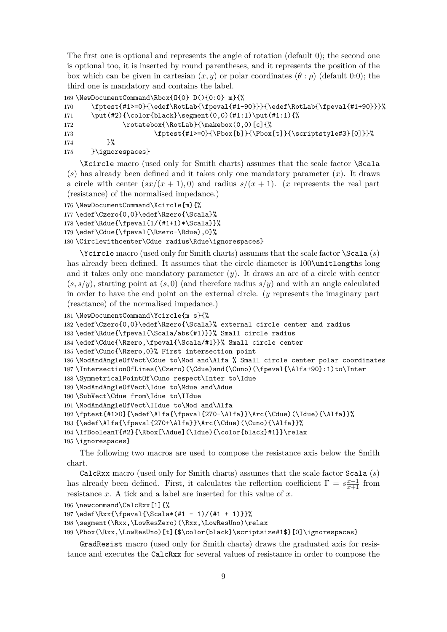The first one is optional and represents the angle of rotation (default 0); the second one is optional too, it is inserted by round parentheses, and it represents the position of the box which can be given in cartesian  $(x, y)$  or polar coordinates  $(\theta : \rho)$  (default 0:0); the third one is mandatory and contains the label.

```
169 \NewDocumentCommand\Rbox{O{0} D(){0:0} m}{%
170 \fptest{#1>=0}{\edef\RotLab{\fpeval{#1-90}}}{\edef\RotLab{\fpeval{#1+90}}}%
171 \put(#2){\color{black}\segment(0,0)(#1:1)\put(#1:1){%
172 \rotatebox{\RotLab}{\makebox(0,0)[c]{%
173 \fptest{#1>=0}{\Pbox[b]}{\Pbox[t]}{\scriptstyle#3}[0]}}%
174 }%
175 }\ignorespaces}
```
\Xcircle macro (used only for Smith charts) assumes that the scale factor \Scala (*s*) has already been defined and it takes only one mandatory parameter (*x*). It draws a circle with center  $(sx/(x+1),0)$  and radius  $s/(x+1)$ . (*x* represents the real part (resistance) of the normalised impedance.)

```
176 \NewDocumentCommand\Xcircle{m}{%
177 \edef\Czero{0,0}\edef\Rzero{\Scala}%
```
178 \edef\Rdue{\fpeval{1/(#1+1)\*\Scala}}%

```
179 \edef\Cdue{\fpeval{\Rzero-\Rdue},0}%
```

```
180 \Circlewithcenter\Cdue radius\Rdue\ignorespaces}
```
\Ycircle macro (used only for Smith charts) assumes that the scale factor \Scala (*s*) has already been defined. It assumes that the circle diameter is 100\unitlengths long and it takes only one mandatory parameter  $(y)$ . It draws an arc of a circle with center  $(s, s/y)$ , starting point at  $(s, 0)$  (and therefore radius  $s/y$ ) and with an angle calculated in order to have the end point on the external circle. (*y* represents the imaginary part (reactance) of the normalised impedance.)

```
181 \NewDocumentCommand\Ycircle{m s}{%
```
182 \edef\Czero{0,0}\edef\Rzero{\Scala}% external circle center and radius

```
183 \edef\Rdue{\fpeval{\Scala/abs(#1)}}% Small circle radius
```

```
184 \edef\Cdue{\Rzero,\fpeval{\Scala/#1}}% Small circle center
```

```
185 \edef\Cuno{\Rzero,0}% First intersection point
```
186 \ModAndAngleOfVect\Cdue to\Mod and\Alfa % Small circle center polar coordinates

```
187 \IntersectionOfLines(\Czero)(\Cdue)and(\Cuno)(\fpeval{\Alfa+90}:1)to\Inter
```
188 \SymmetricalPointOf\Cuno respect\Inter to\Idue

```
189 \ModAndAngleOfVect\Idue to\Mdue and\Adue
```

```
190 \SubVect\Cdue from\Idue to\IIdue
```

```
191 \ModAndAngleOfVect\IIdue to\Mod and\Alfa
```

```
192 \fptest{#1>0}{\edef\Alfa{\fpeval{270-\Alfa}}\Arc(\Cdue)(\Idue){\Alfa}}%
```

```
193 {\edef\Alfa{\fpeval{270+\Alfa}}\Arc(\Cdue)(\Cuno){\Alfa}}%
```
194 \IfBooleanT{#2}{\Rbox[\Adue](\Idue){\color{black}#1}}\relax

```
195 \ignorespaces}
```
The following two macros are used to compose the resistance axis below the Smith chart.

CalcRxx macro (used only for Smith charts) assumes that the scale factor Scala (*s*) has already been defined. First, it calculates the reflection coefficient  $\Gamma = s \frac{x-1}{x+1}$  from resistance *x*. A tick and a label are inserted for this value of *x*.

196 \newcommand\CalcRxx[1]{%

```
197 \edef\Rxx{\fpeval{\Scala*(#1 - 1)/(#1 + 1)}}%
```
198 \segment(\Rxx,\LowResZero)(\Rxx,\LowResUno)\relax

199 \Pbox(\Rxx,\LowResUno)[t]{\$\color{black}\scriptsize#1\$}[0]\ignorespaces}

GradResist macro (used only for Smith charts) draws the graduated axis for resistance and executes the CalcRxx for several values of resistance in order to compose the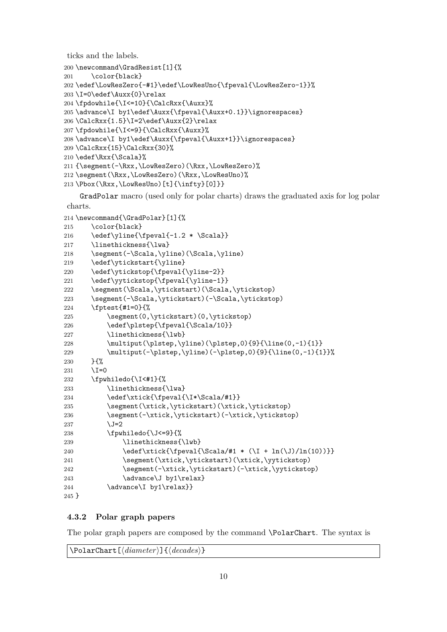ticks and the labels.

```
200 \newcommand\GradResist[1]{%
201 \color{black}
202 \edef\LowResZero{-#1}\edef\LowResUno{\fpeval{\LowResZero-1}}%
203 \I=0\edef\Auxx{0}\relax
204 \fpdowhile{\I<=10}{\CalcRxx{\Auxx}%
205 \advance\I by1\edef\Auxx{\fpeval{\Auxx+0.1}}\ignorespaces}
206 \CalcRxx{1.5}\I=2\edef\Auxx{2}\relax
207 \fpdowhile{\I<=9}{\CalcRxx{\Auxx}%
208 \advance\I by1\edef\Auxx{\fpeval{\Auxx+1}}\ignorespaces}
209 \CalcRxx{15}\CalcRxx{30}%
210 \edef\Rxx{\Scala}%
211 {\segment(-\Rxx,\LowResZero)(\Rxx,\LowResZero)%
212 \segment(\Rxx,\LowResZero)(\Rxx,\LowResUno)%
```
213 \Pbox(\Rxx,\LowResUno)[t]{\infty}[0]}}

GradPolar macro (used only for polar charts) draws the graduated axis for log polar charts.

```
214 \newcommand{\GradPolar}[1]{%
215 \color{black}
216 \edef\yline{\fpeval{-1.2 * \Scala}}
217 \linethickness{\lwa}
218 \segment(-\Scala,\yline)(\Scala,\yline)
219 \edef\ytickstart{\yline}
220 \edef\ytickstop{\fpeval{\yline-2}}
221 \edef\yytickstop{\fpeval{\yline-1}}
222 \segment(\Scala,\ytickstart)(\Scala,\ytickstop)
223 \segment(-\Scala,\ytickstart)(-\Scala,\ytickstop)
224 \fptest{#1=0}{%
225 \segment(0,\ytickstart)(0,\ytickstop)
226 \edef\plstep{\fpeval{\Scala/10}}
227 \linethickness{\lwb}
228 \multiput(\plstep,\vline)(\plstep.0){9}{\line(0,-1){1}}
229 \multiput(-\plstep,\yline)(-\plstep,0){9}{\line(0,-1){1}}%
230 }{%
231 \I=0
232 \fpwhiledo{\I<#1}{%
233 \linethickness{\lwa}
234 \edef\xtick{\fpeval{\I*\Scala/#1}}
235 \segment(\xtick,\ytickstart)(\xtick,\ytickstop)
236 \segment(-\xtick,\ytickstart)(-\xtick,\ytickstop)
237 \quad \text{J=2}238 \fpwhiledo{\J<=9}{%
239 \linethickness{\lwb}
240 \edef\xtick{\fpeval{\Scala/#1 * (\I + \ln(\J)/\ln(10))}
241 \segment(\xtick,\ytickstart)(\xtick,\yytickstop)
242 \segment(-\xtick,\ytickstart)(-\xtick,\yytickstop)
243 \dvance\J by1\relax}
244 \advance\I by1\relax}}
245 }
```

```
4.3.2 Polar graph papers
```
The polar graph papers are composed by the command \PolarChart. The syntax is

\PolarChart[⟨*diameter*⟩]{⟨*decades*⟩}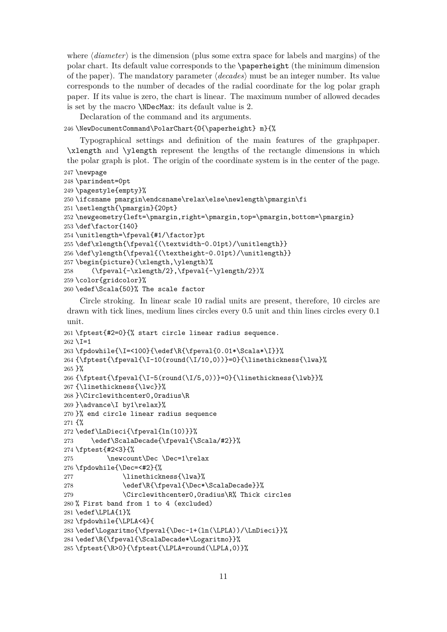where ⟨*diameter*⟩ is the dimension (plus some extra space for labels and margins) of the polar chart. Its default value corresponds to the \paperheight (the minimum dimension of the paper). The mandatory parameter ⟨*decades*⟩ must be an integer number. Its value corresponds to the number of decades of the radial coordinate for the log polar graph paper. If its value is zero, the chart is linear. The maximum number of allowed decades is set by the macro \NDecMax: its default value is 2.

Declaration of the command and its arguments.

\NewDocumentCommand\PolarChart{O{\paperheight} m}{%

Typographical settings and definition of the main features of the graphpaper. \xlength and \ylength represent the lengths of the rectangle dimensions in which the polar graph is plot. The origin of the coordinate system is in the center of the page.

```
247 \newpage
```

```
248 \parindent=0pt
249 \pagestyle{empty}%
250 \ifcsname pmargin\endcsname\relax\else\newlength\pmargin\fi
251 \setlength{\pmargin}{20pt}
252 \newgeometry{left=\pmargin,right=\pmargin,top=\pmargin,bottom=\pmargin}
253 \def\factor{140}
254 \unitlength=\fpeval{#1/\factor}pt
255 \def\xlength{\fpeval{(\textwidth-0.01pt)/\unitlength}}
256 \def\ylength{\fpeval{(\textheight-0.01pt)/\unitlength}}
257 \begin{picture}(\xlength,\ylength)%
258 (\fpeval{-\xlength/2},\fpeval{-\ylength/2})%
259 \color{gridcolor}%
260 \edef\Scala{50}% The scale factor
```
Circle stroking. In linear scale 10 radial units are present, therefore, 10 circles are drawn with tick lines, medium lines circles every 0.5 unit and thin lines circles every 0.1 unit.

```
261 \fptest{#2=0}{% start circle linear radius sequence.
262 \setminus I=1263 \fpdowhile{\I=<100}{\edef\R{\fpeval{0.01*\Scala*\I}}%
264 {\fptest{\fpeval{\I-10(round(\I/10,0))}=0}{\linethickness{\lwa}%
265 }%
266 {\frac{\frac{\Pi-5(round(\I/5,0))}=0}{\line{thickness{\lwb}}}\267 {\linethickness{\lwc}}%
268 }\Circlewithcenter0,0radius\R
269 }\advance\I by1\relax}%
270 }% end circle linear radius sequence
271 {%
272 \edef\LnDieci{\fpeval{ln(10)}}%
273 \edef\ScalaDecade{\fpeval{\Scala/#2}}%
274 \fptest{#2<3}{%
275 \newcount\Dec \Dec=1\relax
276 \fpdowhile{\Dec=<#2}{%
277 \linethickness{\lwa}%
278 \edef\R{\fpeval{\Dec*\ScalaDecade}}%
279 \Circlewithcenter0,0radius\R% Thick circles
280 % First band from 1 to 4 (excluded)
281 \edef\LPLA{1}%
282 \fpdowhile{\LPLA<4}{
283 \edef\Logaritmo{\fpeval{\Dec-1+(ln(\LPLA))/\LnDieci}}%
284 \edef\R{\fpeval{\ScalaDecade*\Logaritmo}}%
285 \fptest{\R>0}{\fptest{\LPLA=round(\LPLA,0)}%
```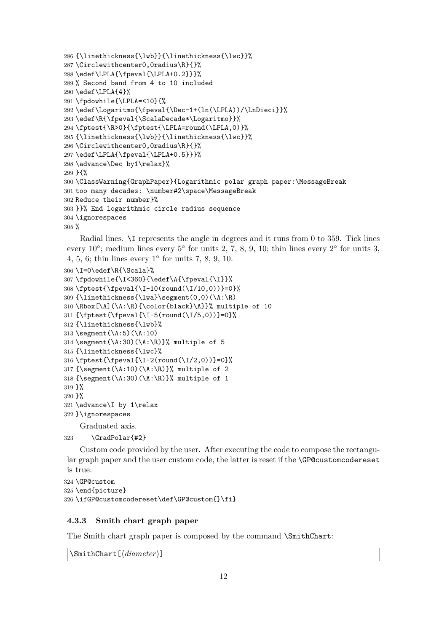```
286 {\linethickness{\lwb}}{\linethickness{\lwc}}%
287 \Circlewithcenter0,0radius\R}{}%
288 \edef\LPLA{\fpeval{\LPLA+0.2}}}%
289 % Second band from 4 to 10 included
290 \text{def}\LPLA{4}%
291 \fpdowhile{\LPLA=<10}{%
292 \edef\Logaritmo{\fpeval{\Dec-1+(ln(\LPLA))/\LnDieci}}%
293 \edef\R{\fpeval{\ScalaDecade*\Logaritmo}}%
294 \fptest{\R>0}{\fptest{\LPLA=round(\LPLA,0)}%
295 {\linethickness{\lwb}}{\linethickness{\lwc}}%
296 \Circlewithcenter0,0radius\R}{}%
297 \edef\LPLA{\fpeval{\LPLA+0.5}}}%
298 \advance\Dec by1\relax}%
299 }{%
300 \ClassWarning{GraphPaper}{Logarithmic polar graph paper:\MessageBreak
301 too many decades: \number#2\space\MessageBreak
302 Reduce their number}%
303 }}% End logarithmic circle radius sequence
304 \ignorespaces
305 %
```
Radial lines. \I represents the angle in degrees and it runs from 0 to 359. Tick lines every  $10^{\circ}$ ; medium lines every  $5^{\circ}$  for units 2, 7, 8, 9, 10; thin lines every  $2^{\circ}$  for units 3, 4, 5, 6; thin lines every  $1^\circ$  for units 7, 8, 9, 10.

```
306 \I=0\edef\R{\Scala}%
307 \fpdowhile{\I<360}{\edef\A{\fpeval{\I}}%
308 \fptest{\fpeval{\I-10(round(\I/10,0))}=0}%
309 {\linethickness{\lwa}\segment(0,0)(\A:\R)
310 \Rbox[\A](\A:\R){\color{black}\A}}% multiple of 10
311 {\fptest{\fpeval{\I-5(round(\I/5,0))}=0}%
312 {\linethickness{\lwb}%
313 \segment(\A:5)(\A:10)314 \segment(\A:30)(\A:\R)}% multiple of 5
315 {\linethickness{\lwc}%
316 \fptest{\fpeval{\I-2(round(\I/2,0))}=0}%
317 {\segment(\A:10)(\A:\R)}% multiple of 2
318 {\segment(\A:30)(\A:\R)}% multiple of 1
319 }%
320 }%
321 \advance\I by 1\relax
322 }\ignorespaces
    Graduated axis.
```

```
323 \GradPolar{#2}
```
Custom code provided by the user. After executing the code to compose the rectangular graph paper and the user custom code, the latter is reset if the \GP@customcodereset is true.

```
324 \GP@custom
325 \end{picture}
326 \ifGP@customcodereset\def\GP@custom{}\fi}
```
#### **4.3.3 Smith chart graph paper**

The Smith chart graph paper is composed by the command \SmithChart:

```
\SmithChart[⟨diameter⟩]
```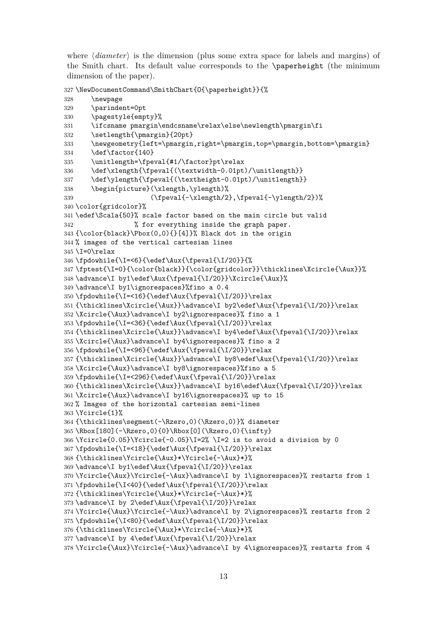where  $\langle diameter \rangle$  is the dimension (plus some extra space for labels and margins) of the Smith chart. Its default value corresponds to the \paperheight (the minimum dimension of the paper).

```
327 \NewDocumentCommand\SmithChart{O{\paperheight}}{%
328 \newpage
329 \parindent=0pt
330 \pagestyle{empty}%
331 \ifcsname pmargin\endcsname\relax\else\newlength\pmargin\fi
332 \setlength{\pmargin}{20pt}
333 \newgeometry{left=\pmargin,right=\pmargin,top=\pmargin,bottom=\pmargin}
334 \def\factor{140}
335 \unitlength=\fpeval{#1/\factor}pt\relax
336 \def\xlength{\fpeval{(\textwidth-0.01pt)/\unitlength}}
337 \def\ylength{\fpeval{(\textheight-0.01pt)/\unitlength}}
338 \begin{picture}(\xlength,\ylength)%
339 (\fpeval{-\xlength/2},\fpeval{-\ylength/2})%
340 \color{gridcolor}%
341 \edef\Scala{50}% scale factor based on the main circle but valid
342 % for everything inside the graph paper.
343 {\color{black}\Pbox(0,0){}[4]}% Black dot in the origin
344 % images of the vertical cartesian lines
345 I=0 relax
346 \fpdowhile{\I=<6}{\edef\Aux{\fpeval{\I/20}}{%
347 \fptest{\I=0}{\color{black}}{\color{gridcolor}}\thicklines\Xcircle{\Aux}}%
348 \advance\I by1\edef\Aux{\fpeval{\I/20}}\Xcircle{\Aux}%
349 \advance\I by1\ignorespaces}%fino a 0.4
350 \fpdowhile{\I=<16}{\edef\Aux{\fpeval{\I/20}}\relax
351 {\thicklines\Xcircle{\Aux}}\advance\I by2\edef\Aux{\fpeval{\I/20}}\relax
352 \Xcircle{\Aux}\advance\I by2\ignorespaces}% fino a 1
353 \fpdowhile{\I=<36}{\edef\Aux{\fpeval{\I/20}}\relax
354 {\thicklines\Xcircle{\Aux}}\advance\I by4\edef\Aux{\fpeval{\I/20}}\relax
355 \Xcircle{\Aux}\advance\I by4\ignorespaces}% fino a 2
356 \fpdowhile{\I=<96}{\edef\Aux{\fpeval{\I/20}}\relax
357 {\thicklines\Xcircle{\Aux}}\advance\I by8\edef\Aux{\fpeval{\I/20}}\relax
358 \Xcircle{\Aux}\advance\I by8\ignorespaces}%fino a 5
359 \fpdowhile{\I=<296}{\edef\Aux{\fpeval{\I/20}}\relax
360 {\thicklines\Xcircle{\Aux}}\advance\I by16\edef\Aux{\fpeval{\I/20}}\relax
361 \Xcircle{\Aux}\advance\I by16\ignorespaces}% up to 15
362 % Images of the horizontal cartesian semi-lines
363 \Ycircle{1}%
364 {\thicklines\segment(-\Rzero,0)(\Rzero,0)}% diameter
365 \Rbox[180](-\Rzero,0){0}\Rbox[0](\Rzero,0){\infty}
366 \cdot 0.05} \cdot 0.05 -2 is to avoid a division by 0
367 \fpdowhile{\I=<18}{\edef\Aux{\fpeval{\I/20}}\relax
368 {\thicklines\Ycircle{\Aux}*\Ycircle{-\Aux}*}%
369 \advance\I by1\edef\Aux{\fpeval{\I/20}}\relax
370 \Ycircle{\Aux}\Ycircle{-\Aux}\advance\I by 1\ignorespaces}% restarts from 1
371 \fpdowhile{\I<40}{\edef\Aux{\fpeval{\I/20}}\relax
372 {\thicklines\Ycircle{\Aux}*\Ycircle{-\Aux}*}%
373 \advance\I by 2\edef\Aux{\fpeval{\I/20}}\relax
374 \Ycircle{\Aux}\Ycircle{-\Aux}\advance\I by 2\ignorespaces}% restarts from 2
375 \fpdowhile{\I<80}{\edef\Aux{\fpeval{\I/20}}\relax
376 {\thicklines\Ycircle{\Aux}*\Ycircle{-\Aux}*}%
377 \advance \I by 4\edef\Aux{\fpeval{\I/20}\} \relax378 \Ycircle{\Aux}\Ycircle{-\Aux}\advance\I by 4\ignorespaces}% restarts from 4
```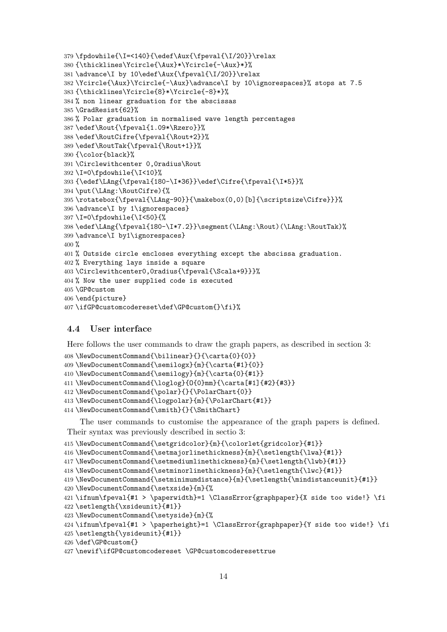```
379 \fpdowhile{\I=<140}{\edef\Aux{\fpeval{\I/20}}\relax
380 {\thicklines\Ycircle{\Aux}*\Ycircle{-\Aux}*}%
381 \advance\I by 10\edef\Aux{\fpeval{\I/20}}\relax
382 \Ycircle{\Aux}\Ycircle{-\Aux}\advance\I by 10\ignorespaces}% stops at 7.5
383 {\thicklines\Ycircle{8}*\Ycircle{-8}*}%
384 % non linear graduation for the abscissas
385 \GradResist{62}%
386 % Polar graduation in normalised wave length percentages
387 \edef\Rout{\fpeval{1.09*\Rzero}}%
388 \edef\RoutCifre{\fpeval{\Rout+2}}%
389 \edef\RoutTak{\fpeval{\Rout+1}}%
390 {\color{black}%
391 \Circlewithcenter 0,0radius\Rout
392 \I=0\fpdowhile{\I<10}%
393 {\edef\LAng{\fpeval{180-\I*36}}\edef\Cifre{\fpeval{\I*5}}%
394 \put(\LAng:\RoutCifre){%
395 \rotatebox{\fpeval{\LAng-90}}{\makebox(0,0)[b]{\scriptsize\Cifre}}}%
396 \advance\I by 1\ignorespaces}
397 \I=0\fpdowhile{\I<50}{%
398 \edef\LAng{\fpeval{180-\I*7.2}}\segment(\LAng:\Rout)(\LAng:\RoutTak)%
399 \advance\I by1\ignorespaces}
400 %
401 % Outside circle encloses everything except the abscissa graduation.
402 % Everything lays inside a square
403\Circlewithcenter0,0radius{\fpeval{\Scala+9}}}%
404 % Now the user supplied code is executed
405 \GP@custom
406 \end{picture}
407 \ifGP@customcodereset\def\GP@custom{}\fi}%
```
#### **4.4 User interface**

Here follows the user commands to draw the graph papers, as described in section 3:

```
408 \NewDocumentCommand{\bilinear}{}{\carta{0}{0}}
```

```
409 \NewDocumentCommand{\semilogx}{m}{\carta{#1}{0}}
```
\NewDocumentCommand{\semilogy}{m}{\carta{0}{#1}}

```
411 \NewDocumentCommand{\loglog}{O{0}mm}{\carta[#1]{#2}{#3}}
```

```
412 \NewDocumentCommand{\polar}{}{\PolarChart{0}}
```

```
413 \NewDocumentCommand{\logpolar}{m}{\PolarChart{#1}}
```
414 \NewDocumentCommand{\smith}{}{\SmithChart}

The user commands to customise the appearance of the graph papers is defined. Their syntax was previously described in sectio 3:

```
415 \NewDocumentCommand{\setgridcolor}{m}{\colorlet{gridcolor}{#1}}
```
\NewDocumentCommand{\setmajorlinethickness}{m}{\setlength{\lwa}{#1}}

```
417 \NewDocumentCommand{\setmediumlinethickness}{m}{\setlength{\lwb}{#1}}
```

```
418 \NewDocumentCommand{\setminorlinethickness}{m}{\setlength{\lwc}{#1}}
```

```
419 \NewDocumentCommand{\setminimumdistance}{m}{\setlength{\mindistanceunit}{#1}}
```

```
420 \NewDocumentCommand{\setxside}{m}{%
```

```
421 \ifnum\fpeval{#1 > \paperwidth}=1 \ClassError{graphpaper}{X side too wide!} \fi
422 \setlength{\xsideunit}{#1}}
```

```
423 \NewDocumentCommand{\setyside}{m}{%
```

```
424 \ifnum\fpeval{#1 > \paperheight}=1 \ClassError{graphpaper}{Y side too wide!} \fi
```

```
425 \setlength{\ysideunit}{#1}}
```

```
426 \def\GP@custom{}
```

```
427 \newif\ifGP@customcodereset \GP@customcoderesettrue
```